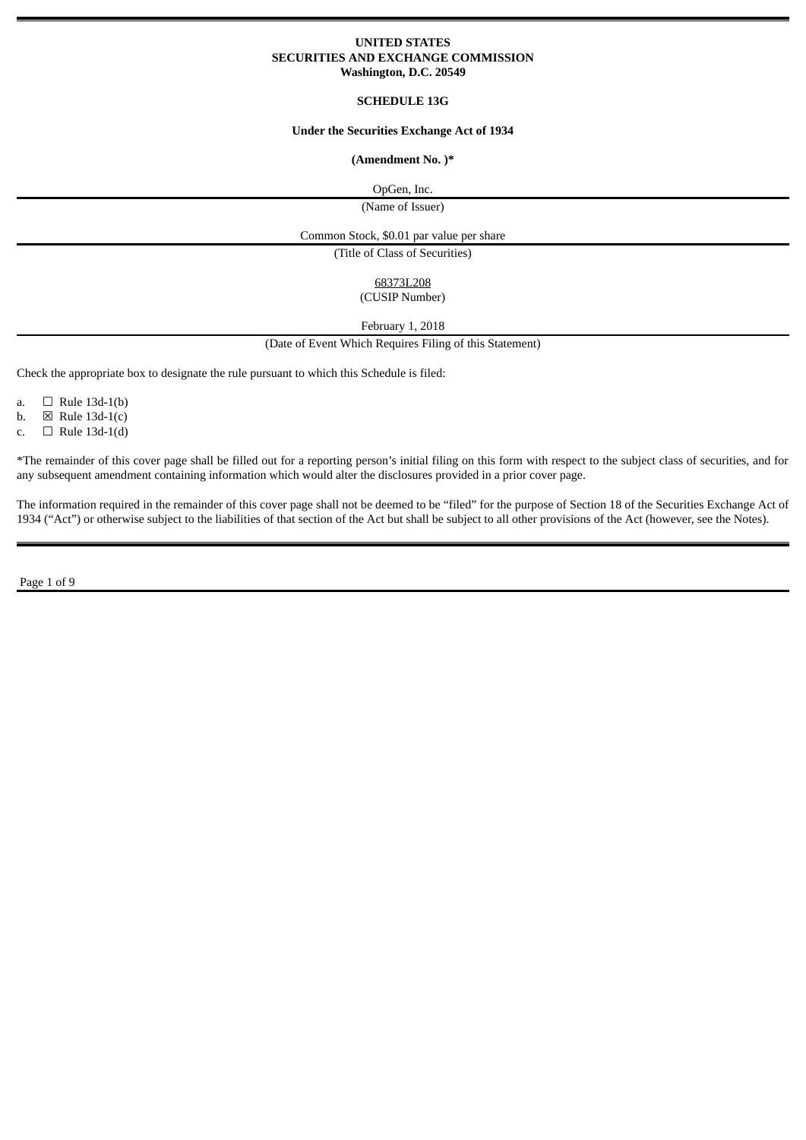### **UNITED STATES SECURITIES AND EXCHANGE COMMISSION Washington, D.C. 20549**

### **SCHEDULE 13G**

## **Under the Securities Exchange Act of 1934**

## **(Amendment No. )\***

OpGen, Inc.

(Name of Issuer)

Common Stock, \$0.01 par value per share

(Title of Class of Securities)

68373L208

(CUSIP Number)

February 1, 2018

(Date of Event Which Requires Filing of this Statement)

Check the appropriate box to designate the rule pursuant to which this Schedule is filed:

a.  $\Box$  Rule 13d-1(b)

b.  $\boxtimes$  Rule 13d-1(c)

c.  $\Box$  Rule 13d-1(d)

\*The remainder of this cover page shall be filled out for a reporting person's initial filing on this form with respect to the subject class of securities, and for any subsequent amendment containing information which would alter the disclosures provided in a prior cover page.

The information required in the remainder of this cover page shall not be deemed to be "filed" for the purpose of Section 18 of the Securities Exchange Act of 1934 ("Act") or otherwise subject to the liabilities of that section of the Act but shall be subject to all other provisions of the Act (however, see the Notes).

Page 1 of 9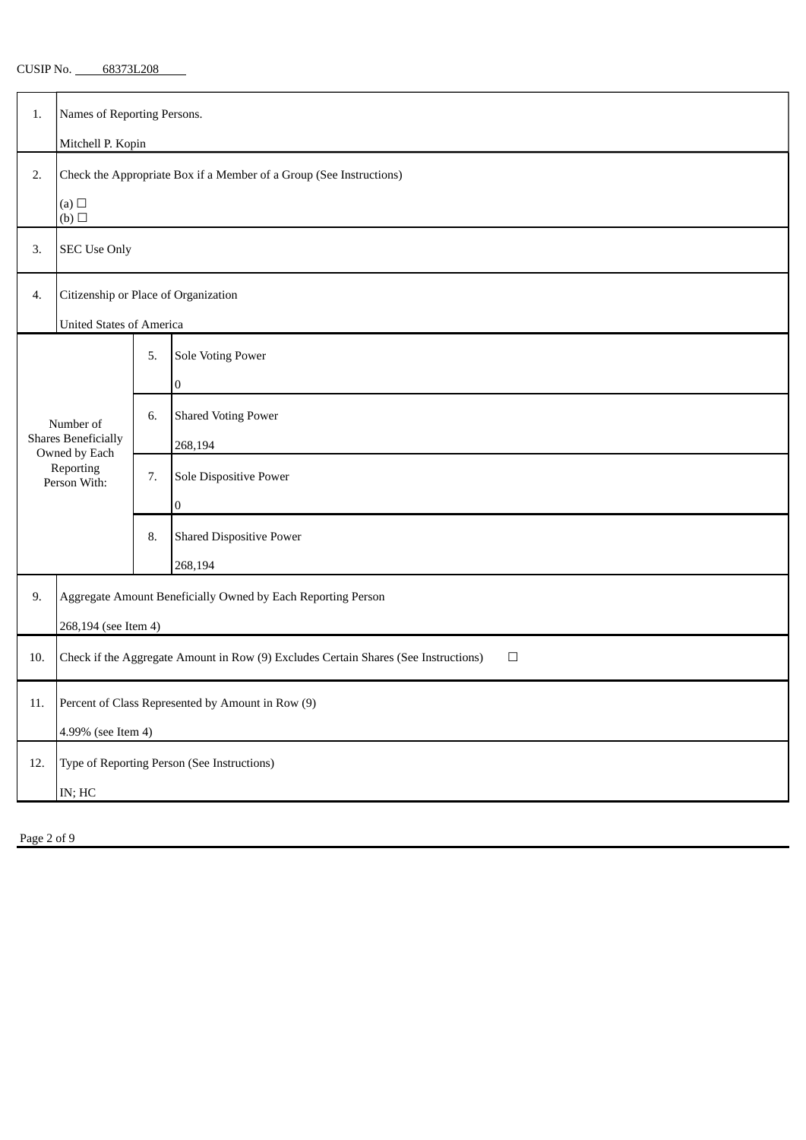CUSIP No. 68373L208

| 1.                                                                       | Names of Reporting Persons.                                                                   |    |                                 |  |  |  |
|--------------------------------------------------------------------------|-----------------------------------------------------------------------------------------------|----|---------------------------------|--|--|--|
|                                                                          | Mitchell P. Kopin                                                                             |    |                                 |  |  |  |
| 2.                                                                       | Check the Appropriate Box if a Member of a Group (See Instructions)<br>(a)                    |    |                                 |  |  |  |
|                                                                          | (b)                                                                                           |    |                                 |  |  |  |
| 3.                                                                       | <b>SEC Use Only</b>                                                                           |    |                                 |  |  |  |
| 4.                                                                       | Citizenship or Place of Organization                                                          |    |                                 |  |  |  |
|                                                                          | <b>United States of America</b>                                                               |    |                                 |  |  |  |
|                                                                          |                                                                                               | 5. | <b>Sole Voting Power</b>        |  |  |  |
|                                                                          |                                                                                               |    | $\pmb{0}$                       |  |  |  |
|                                                                          | Number of                                                                                     | 6. | <b>Shared Voting Power</b>      |  |  |  |
| <b>Shares Beneficially</b><br>Owned by Each<br>Reporting<br>Person With: |                                                                                               |    | 268,194                         |  |  |  |
|                                                                          |                                                                                               | 7. | Sole Dispositive Power          |  |  |  |
|                                                                          |                                                                                               |    | $\bf{0}$                        |  |  |  |
|                                                                          |                                                                                               | 8. | <b>Shared Dispositive Power</b> |  |  |  |
| 268,194                                                                  |                                                                                               |    |                                 |  |  |  |
| 9.                                                                       | Aggregate Amount Beneficially Owned by Each Reporting Person                                  |    |                                 |  |  |  |
|                                                                          | 268,194 (see Item 4)                                                                          |    |                                 |  |  |  |
| 10.                                                                      | Check if the Aggregate Amount in Row (9) Excludes Certain Shares (See Instructions)<br>$\Box$ |    |                                 |  |  |  |
| 11.                                                                      | Percent of Class Represented by Amount in Row (9)                                             |    |                                 |  |  |  |
|                                                                          | 4.99% (see Item 4)                                                                            |    |                                 |  |  |  |
| 12.                                                                      | Type of Reporting Person (See Instructions)                                                   |    |                                 |  |  |  |
|                                                                          | $\mathsf{IN}; \mathsf{HC}$                                                                    |    |                                 |  |  |  |
|                                                                          |                                                                                               |    |                                 |  |  |  |

Page 2 of 9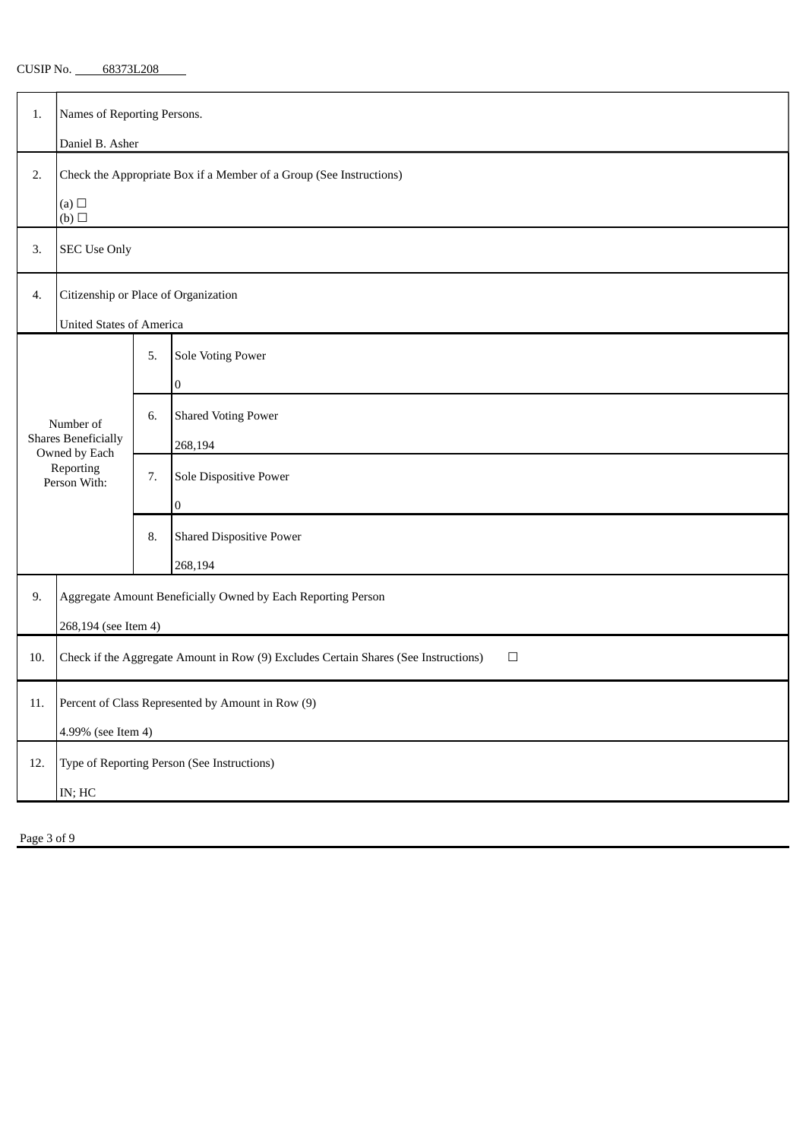| 68373L208<br>CUSIP No. |
|------------------------|
|------------------------|

| 1.                                                                                    | Names of Reporting Persons.                                                                   |    |                                 |  |  |  |
|---------------------------------------------------------------------------------------|-----------------------------------------------------------------------------------------------|----|---------------------------------|--|--|--|
|                                                                                       | Daniel B. Asher                                                                               |    |                                 |  |  |  |
| 2.                                                                                    | Check the Appropriate Box if a Member of a Group (See Instructions)<br>(a) $\Box$             |    |                                 |  |  |  |
|                                                                                       | (b)                                                                                           |    |                                 |  |  |  |
| 3.                                                                                    | <b>SEC Use Only</b>                                                                           |    |                                 |  |  |  |
| 4.                                                                                    | Citizenship or Place of Organization                                                          |    |                                 |  |  |  |
|                                                                                       | <b>United States of America</b>                                                               |    |                                 |  |  |  |
|                                                                                       |                                                                                               | 5. | <b>Sole Voting Power</b>        |  |  |  |
|                                                                                       |                                                                                               |    | $\pmb{0}$                       |  |  |  |
| Number of<br><b>Shares Beneficially</b><br>Owned by Each<br>Reporting<br>Person With: |                                                                                               | 6. | <b>Shared Voting Power</b>      |  |  |  |
|                                                                                       |                                                                                               |    | 268,194                         |  |  |  |
|                                                                                       |                                                                                               | 7. | Sole Dispositive Power          |  |  |  |
|                                                                                       |                                                                                               |    | $\boldsymbol{0}$                |  |  |  |
|                                                                                       |                                                                                               | 8. | <b>Shared Dispositive Power</b> |  |  |  |
| 268,194                                                                               |                                                                                               |    |                                 |  |  |  |
| 9.                                                                                    | Aggregate Amount Beneficially Owned by Each Reporting Person                                  |    |                                 |  |  |  |
|                                                                                       | 268,194 (see Item 4)                                                                          |    |                                 |  |  |  |
| 10.                                                                                   | Check if the Aggregate Amount in Row (9) Excludes Certain Shares (See Instructions)<br>$\Box$ |    |                                 |  |  |  |
| 11.                                                                                   | Percent of Class Represented by Amount in Row (9)                                             |    |                                 |  |  |  |
|                                                                                       | 4.99% (see Item 4)                                                                            |    |                                 |  |  |  |
| 12.                                                                                   | Type of Reporting Person (See Instructions)                                                   |    |                                 |  |  |  |
|                                                                                       | $\mathsf{IN}; \mathsf{HC}$                                                                    |    |                                 |  |  |  |
|                                                                                       |                                                                                               |    |                                 |  |  |  |

Page 3 of 9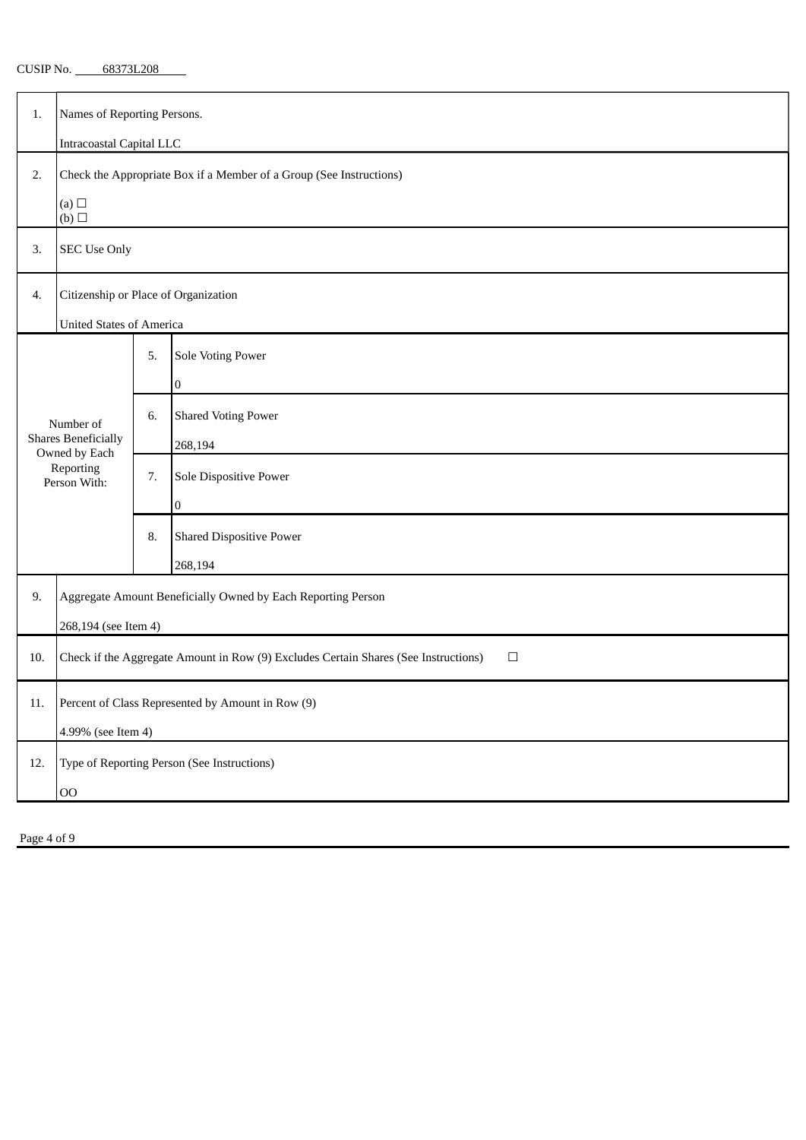|  | CUSIP No. | 68373L208 |
|--|-----------|-----------|
|--|-----------|-----------|

| <b>Intracoastal Capital LLC</b><br>Check the Appropriate Box if a Member of a Group (See Instructions)<br>2.<br>(a)<br>(b)<br><b>SEC Use Only</b><br>3.<br>Citizenship or Place of Organization<br>4.<br><b>United States of America</b><br><b>Sole Voting Power</b><br>5.<br>$\pmb{0}$<br><b>Shared Voting Power</b><br>6.<br>Number of<br><b>Shares Beneficially</b><br>268,194<br>Owned by Each<br>Reporting<br>Sole Dispositive Power<br>7.<br>Person With:<br>$\boldsymbol{0}$<br><b>Shared Dispositive Power</b><br>8.<br>268,194<br>Aggregate Amount Beneficially Owned by Each Reporting Person<br>9.<br>268,194 (see Item 4)<br>Check if the Aggregate Amount in Row (9) Excludes Certain Shares (See Instructions)<br>$\Box$<br>10.<br>Percent of Class Represented by Amount in Row (9)<br>11.<br>4.99% (see Item 4)<br>Type of Reporting Person (See Instructions)<br>12.<br>O <sub>O</sub> | 1. | Names of Reporting Persons. |  |  |  |  |  |
|---------------------------------------------------------------------------------------------------------------------------------------------------------------------------------------------------------------------------------------------------------------------------------------------------------------------------------------------------------------------------------------------------------------------------------------------------------------------------------------------------------------------------------------------------------------------------------------------------------------------------------------------------------------------------------------------------------------------------------------------------------------------------------------------------------------------------------------------------------------------------------------------------------|----|-----------------------------|--|--|--|--|--|
|                                                                                                                                                                                                                                                                                                                                                                                                                                                                                                                                                                                                                                                                                                                                                                                                                                                                                                         |    |                             |  |  |  |  |  |
|                                                                                                                                                                                                                                                                                                                                                                                                                                                                                                                                                                                                                                                                                                                                                                                                                                                                                                         |    |                             |  |  |  |  |  |
|                                                                                                                                                                                                                                                                                                                                                                                                                                                                                                                                                                                                                                                                                                                                                                                                                                                                                                         |    |                             |  |  |  |  |  |
|                                                                                                                                                                                                                                                                                                                                                                                                                                                                                                                                                                                                                                                                                                                                                                                                                                                                                                         |    |                             |  |  |  |  |  |
|                                                                                                                                                                                                                                                                                                                                                                                                                                                                                                                                                                                                                                                                                                                                                                                                                                                                                                         |    |                             |  |  |  |  |  |
|                                                                                                                                                                                                                                                                                                                                                                                                                                                                                                                                                                                                                                                                                                                                                                                                                                                                                                         |    |                             |  |  |  |  |  |
|                                                                                                                                                                                                                                                                                                                                                                                                                                                                                                                                                                                                                                                                                                                                                                                                                                                                                                         |    |                             |  |  |  |  |  |
|                                                                                                                                                                                                                                                                                                                                                                                                                                                                                                                                                                                                                                                                                                                                                                                                                                                                                                         |    |                             |  |  |  |  |  |
|                                                                                                                                                                                                                                                                                                                                                                                                                                                                                                                                                                                                                                                                                                                                                                                                                                                                                                         |    |                             |  |  |  |  |  |
|                                                                                                                                                                                                                                                                                                                                                                                                                                                                                                                                                                                                                                                                                                                                                                                                                                                                                                         |    |                             |  |  |  |  |  |
|                                                                                                                                                                                                                                                                                                                                                                                                                                                                                                                                                                                                                                                                                                                                                                                                                                                                                                         |    |                             |  |  |  |  |  |
|                                                                                                                                                                                                                                                                                                                                                                                                                                                                                                                                                                                                                                                                                                                                                                                                                                                                                                         |    |                             |  |  |  |  |  |
|                                                                                                                                                                                                                                                                                                                                                                                                                                                                                                                                                                                                                                                                                                                                                                                                                                                                                                         |    |                             |  |  |  |  |  |
|                                                                                                                                                                                                                                                                                                                                                                                                                                                                                                                                                                                                                                                                                                                                                                                                                                                                                                         |    |                             |  |  |  |  |  |
|                                                                                                                                                                                                                                                                                                                                                                                                                                                                                                                                                                                                                                                                                                                                                                                                                                                                                                         |    |                             |  |  |  |  |  |
|                                                                                                                                                                                                                                                                                                                                                                                                                                                                                                                                                                                                                                                                                                                                                                                                                                                                                                         |    |                             |  |  |  |  |  |
|                                                                                                                                                                                                                                                                                                                                                                                                                                                                                                                                                                                                                                                                                                                                                                                                                                                                                                         |    |                             |  |  |  |  |  |
|                                                                                                                                                                                                                                                                                                                                                                                                                                                                                                                                                                                                                                                                                                                                                                                                                                                                                                         |    |                             |  |  |  |  |  |
|                                                                                                                                                                                                                                                                                                                                                                                                                                                                                                                                                                                                                                                                                                                                                                                                                                                                                                         |    |                             |  |  |  |  |  |
|                                                                                                                                                                                                                                                                                                                                                                                                                                                                                                                                                                                                                                                                                                                                                                                                                                                                                                         |    |                             |  |  |  |  |  |
|                                                                                                                                                                                                                                                                                                                                                                                                                                                                                                                                                                                                                                                                                                                                                                                                                                                                                                         |    |                             |  |  |  |  |  |

Page 4 of 9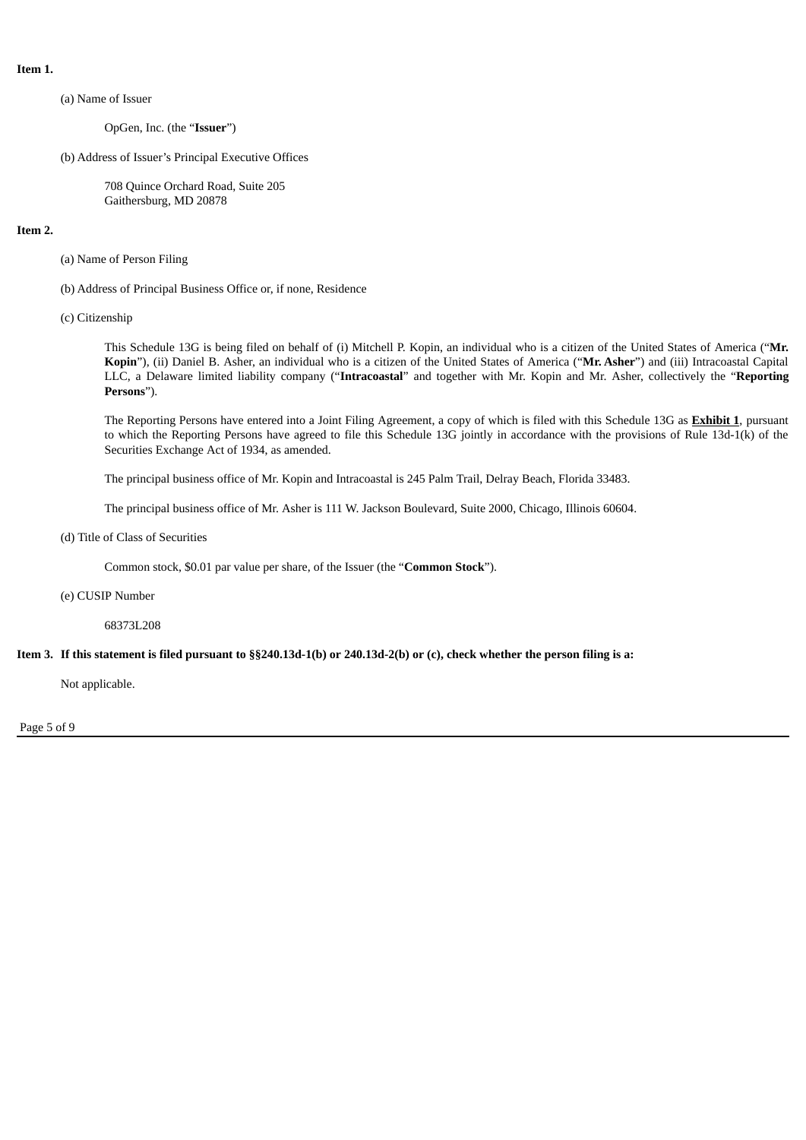**Item 1.**

(a) Name of Issuer

OpGen, Inc. (the "**Issuer**")

(b) Address of Issuer's Principal Executive Offices

708 Quince Orchard Road, Suite 205 Gaithersburg, MD 20878

### **Item 2.**

- (a) Name of Person Filing
- (b) Address of Principal Business Office or, if none, Residence
- (c) Citizenship

This Schedule 13G is being filed on behalf of (i) Mitchell P. Kopin, an individual who is a citizen of the United States of America ("**Mr. Kopin**"), (ii) Daniel B. Asher, an individual who is a citizen of the United States of America ("**Mr. Asher**") and (iii) Intracoastal Capital LLC, a Delaware limited liability company ("**Intracoastal**" and together with Mr. Kopin and Mr. Asher, collectively the "**Reporting Persons**").

The Reporting Persons have entered into a Joint Filing Agreement, a copy of which is filed with this Schedule 13G as **Exhibit 1**, pursuant to which the Reporting Persons have agreed to file this Schedule 13G jointly in accordance with the provisions of Rule 13d-1(k) of the Securities Exchange Act of 1934, as amended.

The principal business office of Mr. Kopin and Intracoastal is 245 Palm Trail, Delray Beach, Florida 33483.

The principal business office of Mr. Asher is 111 W. Jackson Boulevard, Suite 2000, Chicago, Illinois 60604.

#### (d) Title of Class of Securities

Common stock, \$0.01 par value per share, of the Issuer (the "**Common Stock**").

#### (e) CUSIP Number

68373L208

### Item 3. If this statement is filed pursuant to §§240.13d-1(b) or 240.13d-2(b) or (c), check whether the person filing is a:

Not applicable.

Page 5 of 9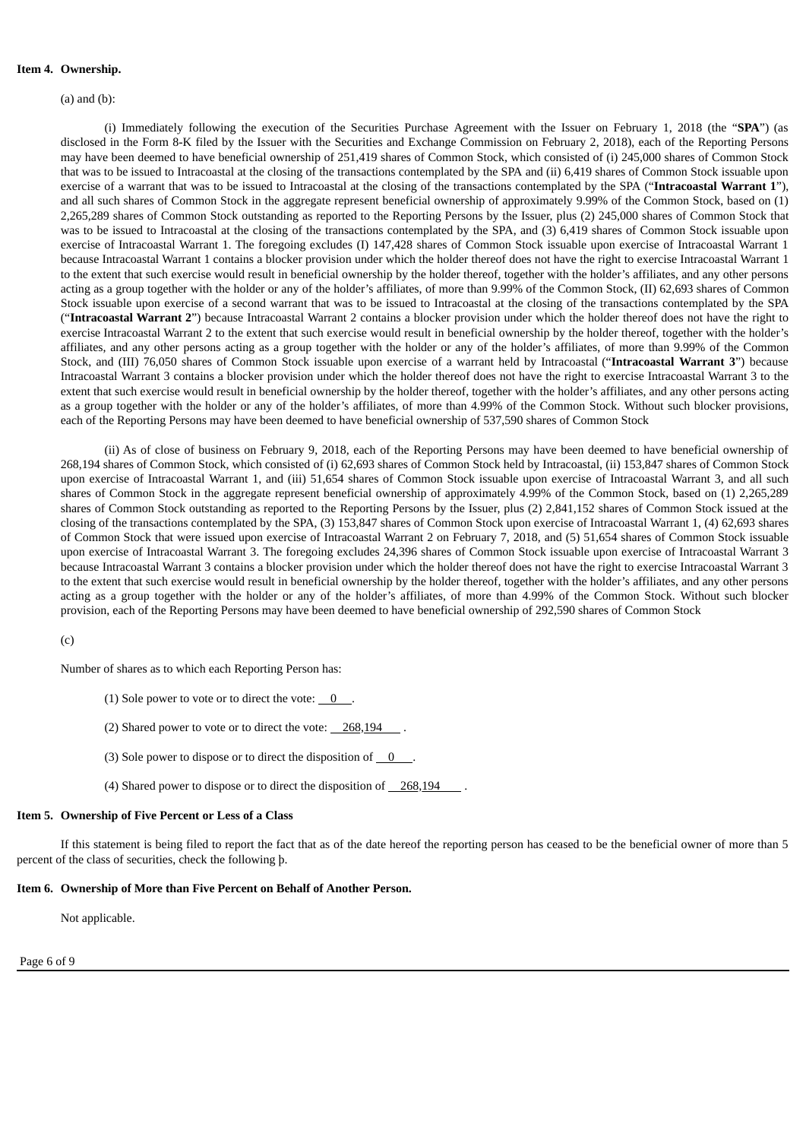### **Item 4. Ownership.**

(a) and (b):

(i) Immediately following the execution of the Securities Purchase Agreement with the Issuer on February 1, 2018 (the "**SPA**") (as disclosed in the Form 8-K filed by the Issuer with the Securities and Exchange Commission on February 2, 2018), each of the Reporting Persons may have been deemed to have beneficial ownership of 251,419 shares of Common Stock, which consisted of (i) 245,000 shares of Common Stock that was to be issued to Intracoastal at the closing of the transactions contemplated by the SPA and (ii) 6,419 shares of Common Stock issuable upon exercise of a warrant that was to be issued to Intracoastal at the closing of the transactions contemplated by the SPA ("**Intracoastal Warrant 1**"), and all such shares of Common Stock in the aggregate represent beneficial ownership of approximately 9.99% of the Common Stock, based on (1) 2,265,289 shares of Common Stock outstanding as reported to the Reporting Persons by the Issuer, plus (2) 245,000 shares of Common Stock that was to be issued to Intracoastal at the closing of the transactions contemplated by the SPA, and (3) 6,419 shares of Common Stock issuable upon exercise of Intracoastal Warrant 1. The foregoing excludes (I) 147,428 shares of Common Stock issuable upon exercise of Intracoastal Warrant 1 because Intracoastal Warrant 1 contains a blocker provision under which the holder thereof does not have the right to exercise Intracoastal Warrant 1 to the extent that such exercise would result in beneficial ownership by the holder thereof, together with the holder's affiliates, and any other persons acting as a group together with the holder or any of the holder's affiliates, of more than 9.99% of the Common Stock, (II) 62,693 shares of Common Stock issuable upon exercise of a second warrant that was to be issued to Intracoastal at the closing of the transactions contemplated by the SPA ("**Intracoastal Warrant 2**") because Intracoastal Warrant 2 contains a blocker provision under which the holder thereof does not have the right to exercise Intracoastal Warrant 2 to the extent that such exercise would result in beneficial ownership by the holder thereof, together with the holder's affiliates, and any other persons acting as a group together with the holder or any of the holder's affiliates, of more than 9.99% of the Common Stock, and (III) 76,050 shares of Common Stock issuable upon exercise of a warrant held by Intracoastal ("**Intracoastal Warrant 3**") because Intracoastal Warrant 3 contains a blocker provision under which the holder thereof does not have the right to exercise Intracoastal Warrant 3 to the extent that such exercise would result in beneficial ownership by the holder thereof, together with the holder's affiliates, and any other persons acting as a group together with the holder or any of the holder's affiliates, of more than 4.99% of the Common Stock. Without such blocker provisions, each of the Reporting Persons may have been deemed to have beneficial ownership of 537,590 shares of Common Stock

(ii) As of close of business on February 9, 2018, each of the Reporting Persons may have been deemed to have beneficial ownership of 268,194 shares of Common Stock, which consisted of (i) 62,693 shares of Common Stock held by Intracoastal, (ii) 153,847 shares of Common Stock upon exercise of Intracoastal Warrant 1, and (iii) 51,654 shares of Common Stock issuable upon exercise of Intracoastal Warrant 3, and all such shares of Common Stock in the aggregate represent beneficial ownership of approximately 4.99% of the Common Stock, based on (1) 2,265,289 shares of Common Stock outstanding as reported to the Reporting Persons by the Issuer, plus (2) 2,841,152 shares of Common Stock issued at the closing of the transactions contemplated by the SPA, (3) 153,847 shares of Common Stock upon exercise of Intracoastal Warrant 1, (4) 62,693 shares of Common Stock that were issued upon exercise of Intracoastal Warrant 2 on February 7, 2018, and (5) 51,654 shares of Common Stock issuable upon exercise of Intracoastal Warrant 3. The foregoing excludes 24,396 shares of Common Stock issuable upon exercise of Intracoastal Warrant 3 because Intracoastal Warrant 3 contains a blocker provision under which the holder thereof does not have the right to exercise Intracoastal Warrant 3 to the extent that such exercise would result in beneficial ownership by the holder thereof, together with the holder's affiliates, and any other persons acting as a group together with the holder or any of the holder's affiliates, of more than 4.99% of the Common Stock. Without such blocker provision, each of the Reporting Persons may have been deemed to have beneficial ownership of 292,590 shares of Common Stock

(c)

Number of shares as to which each Reporting Person has:

- (1) Sole power to vote or to direct the vote:  $\begin{array}{ccc} 0 & . \end{array}$
- (2) Shared power to vote or to direct the vote: 268,194
- (3) Sole power to dispose or to direct the disposition of  $0$
- (4) Shared power to dispose or to direct the disposition of  $\_\$  268,194

#### **Item 5. Ownership of Five Percent or Less of a Class**

If this statement is being filed to report the fact that as of the date hereof the reporting person has ceased to be the beneficial owner of more than 5 percent of the class of securities, check the following þ.

#### **Item 6. Ownership of More than Five Percent on Behalf of Another Person.**

Not applicable.

Page 6 of 9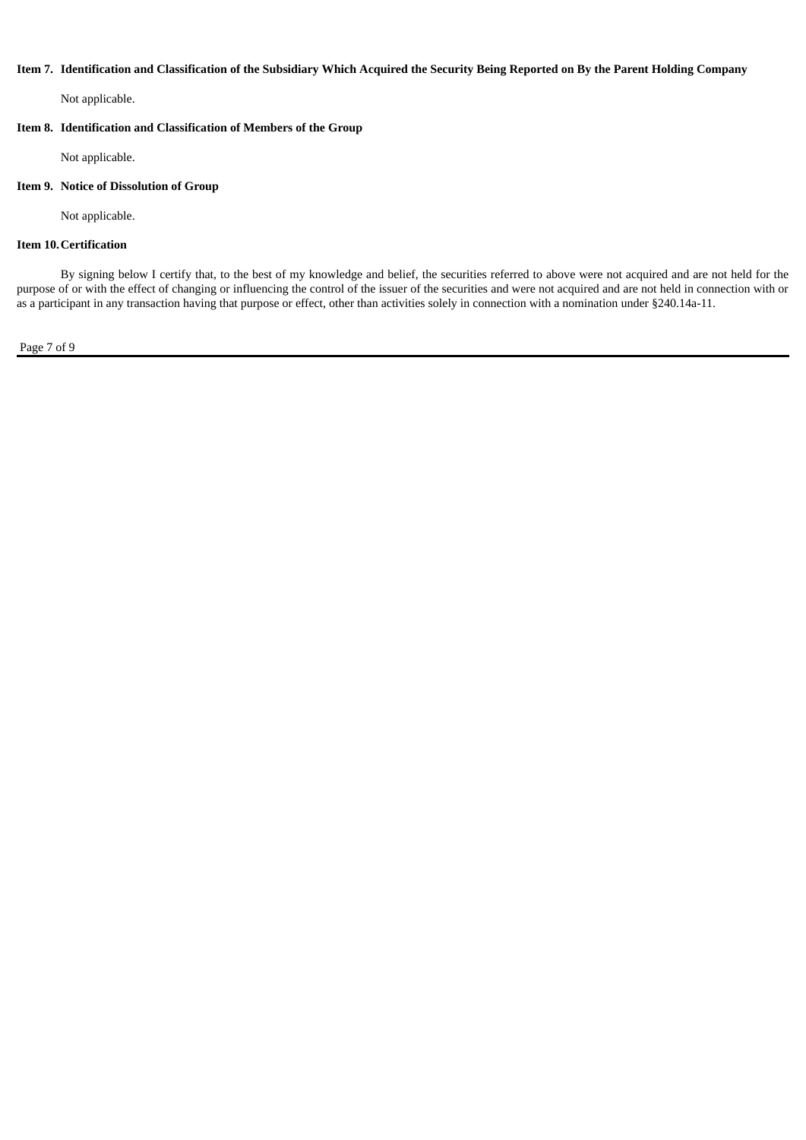### Item 7. Identification and Classification of the Subsidiary Which Acquired the Security Being Reported on By the Parent Holding Company

Not applicable.

## **Item 8. Identification and Classification of Members of the Group**

Not applicable.

## **Item 9. Notice of Dissolution of Group**

Not applicable.

# **Item 10.Certification**

By signing below I certify that, to the best of my knowledge and belief, the securities referred to above were not acquired and are not held for the purpose of or with the effect of changing or influencing the control of the issuer of the securities and were not acquired and are not held in connection with or as a participant in any transaction having that purpose or effect, other than activities solely in connection with a nomination under §240.14a-11.

Page 7 of 9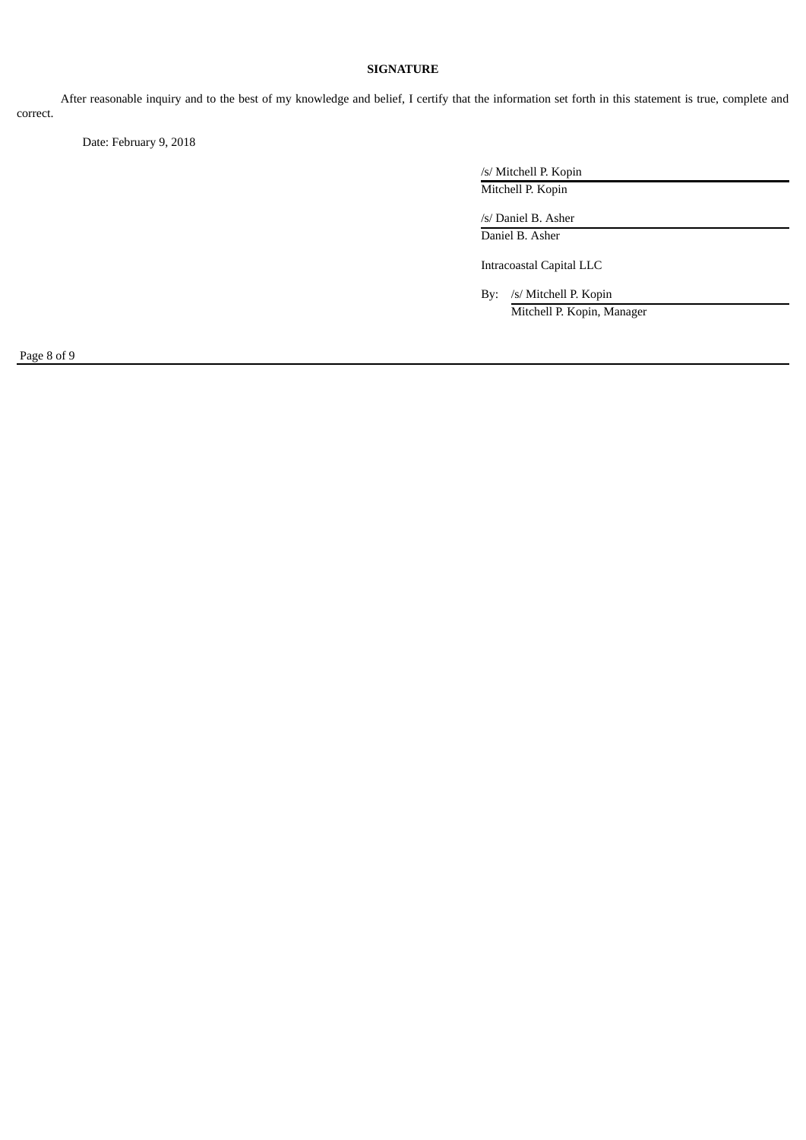# **SIGNATURE**

After reasonable inquiry and to the best of my knowledge and belief, I certify that the information set forth in this statement is true, complete and correct.

Date: February 9, 2018

/s/ Mitchell P. Kopin Mitchell P. Kopin

/s/ Daniel B. Asher Daniel B. Asher

Intracoastal Capital LLC

By: /s/ Mitchell P. Kopin Mitchell P. Kopin, Manager

Page 8 of 9